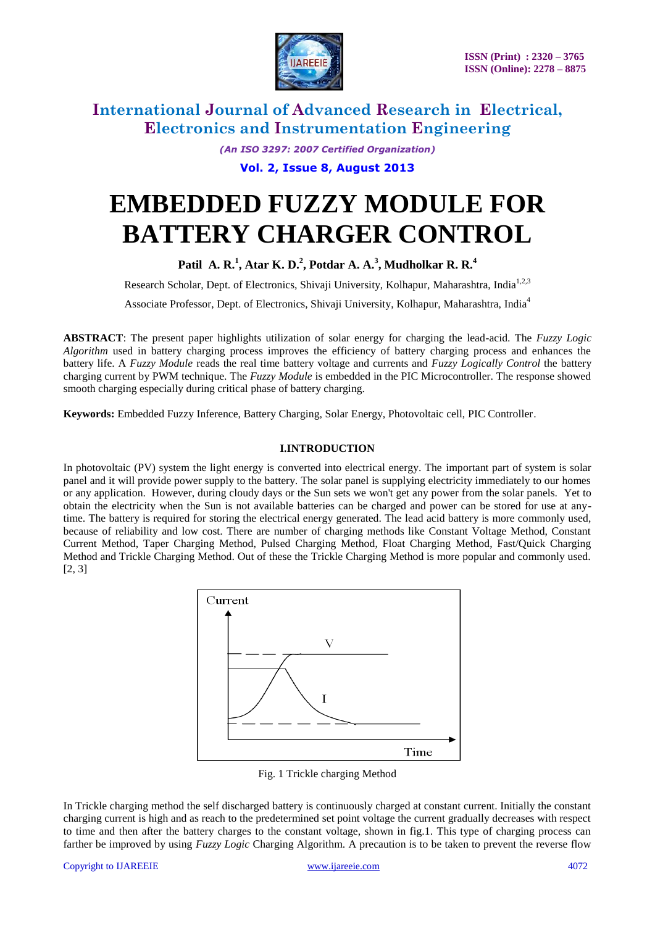

*(An ISO 3297: 2007 Certified Organization)*

**Vol. 2, Issue 8, August 2013**

# **EMBEDDED FUZZY MODULE FOR BATTERY CHARGER CONTROL**

**Patil A. R.<sup>1</sup> , Atar K. D.<sup>2</sup> , Potdar A. A.<sup>3</sup> , Mudholkar R. R.<sup>4</sup>**

Research Scholar, Dept. of Electronics, Shivaji University, Kolhapur, Maharashtra, India<sup>1,2,3</sup>

Associate Professor, Dept. of Electronics, Shivaji University, Kolhapur, Maharashtra, India<sup>4</sup>

**ABSTRACT**: The present paper highlights utilization of solar energy for charging the lead-acid. The *Fuzzy Logic Algorithm* used in battery charging process improves the efficiency of battery charging process and enhances the battery life. A *Fuzzy Module* reads the real time battery voltage and currents and *Fuzzy Logically Control* the battery charging current by PWM technique. The *Fuzzy Module* is embedded in the PIC Microcontroller. The response showed smooth charging especially during critical phase of battery charging.

**Keywords:** Embedded Fuzzy Inference, Battery Charging, Solar Energy, Photovoltaic cell, PIC Controller.

#### **I.INTRODUCTION**

In photovoltaic (PV) system the light energy is converted into electrical energy. The important part of system is solar panel and it will provide power supply to the battery. The solar panel is supplying electricity immediately to our homes or any application. However, during cloudy days or the Sun sets we won't get any power from the solar panels. Yet to obtain the electricity when the Sun is not available batteries can be charged and power can be stored for use at anytime. The battery is required for storing the electrical energy generated. The lead acid battery is more commonly used, because of reliability and low cost. There are number of charging methods like Constant Voltage Method, Constant Current Method, Taper Charging Method, Pulsed Charging Method, Float Charging Method, Fast/Quick Charging Method and Trickle Charging Method. Out of these the Trickle Charging Method is more popular and commonly used. [2, 3]



Fig. 1 Trickle charging Method

In Trickle charging method the self discharged battery is continuously charged at constant current. Initially the constant charging current is high and as reach to the predetermined set point voltage the current gradually decreases with respect to time and then after the battery charges to the constant voltage, shown in fig.1. This type of charging process can farther be improved by using *Fuzzy Logic* Charging Algorithm. A precaution is to be taken to prevent the reverse flow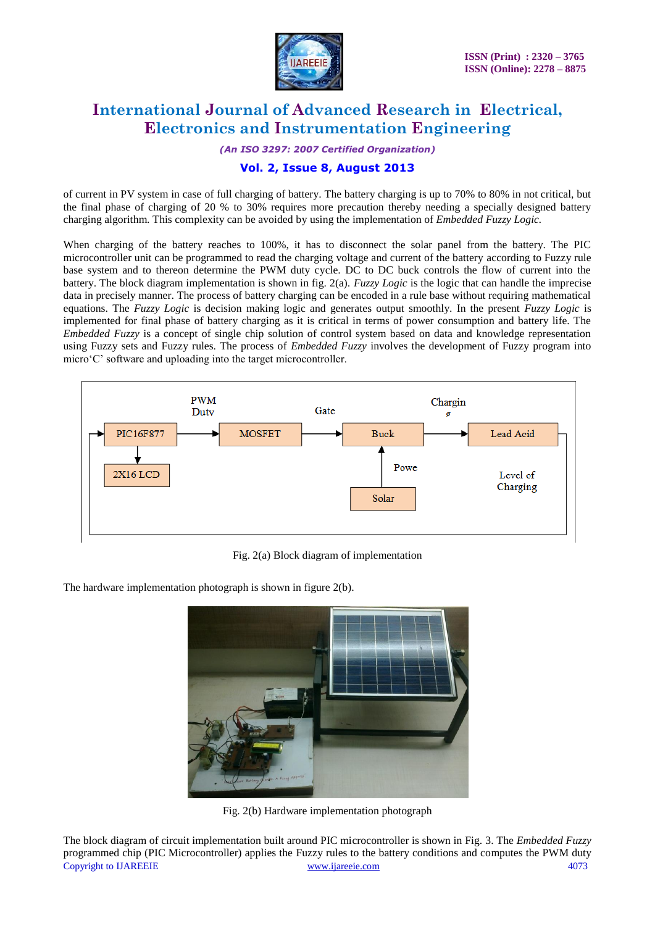

*(An ISO 3297: 2007 Certified Organization)*

### **Vol. 2, Issue 8, August 2013**

of current in PV system in case of full charging of battery. The battery charging is up to 70% to 80% in not critical, but the final phase of charging of 20 % to 30% requires more precaution thereby needing a specially designed battery charging algorithm. This complexity can be avoided by using the implementation of *Embedded Fuzzy Logic.*

When charging of the battery reaches to 100%, it has to disconnect the solar panel from the battery. The PIC microcontroller unit can be programmed to read the charging voltage and current of the battery according to Fuzzy rule base system and to thereon determine the PWM duty cycle. DC to DC buck controls the flow of current into the battery. The block diagram implementation is shown in fig. 2(a). *Fuzzy Logic* is the logic that can handle the imprecise data in precisely manner. The process of battery charging can be encoded in a rule base without requiring mathematical equations. The *Fuzzy Logic* is decision making logic and generates output smoothly. In the present *Fuzzy Logic* is implemented for final phase of battery charging as it is critical in terms of power consumption and battery life. The *Embedded Fuzzy* is a concept of single chip solution of control system based on data and knowledge representation using Fuzzy sets and Fuzzy rules. The process of *Embedded Fuzzy* involves the development of Fuzzy program into micro'C' software and uploading into the target microcontroller.



Fig. 2(a) Block diagram of implementation

The hardware implementation photograph is shown in figure 2(b).



Fig. 2(b) Hardware implementation photograph

Copyright to IJAREEIE [www.ijareeie.com](http://www.ijareeie.com/) 4073 The block diagram of circuit implementation built around PIC microcontroller is shown in Fig. 3. The *Embedded Fuzzy* programmed chip (PIC Microcontroller) applies the Fuzzy rules to the battery conditions and computes the PWM duty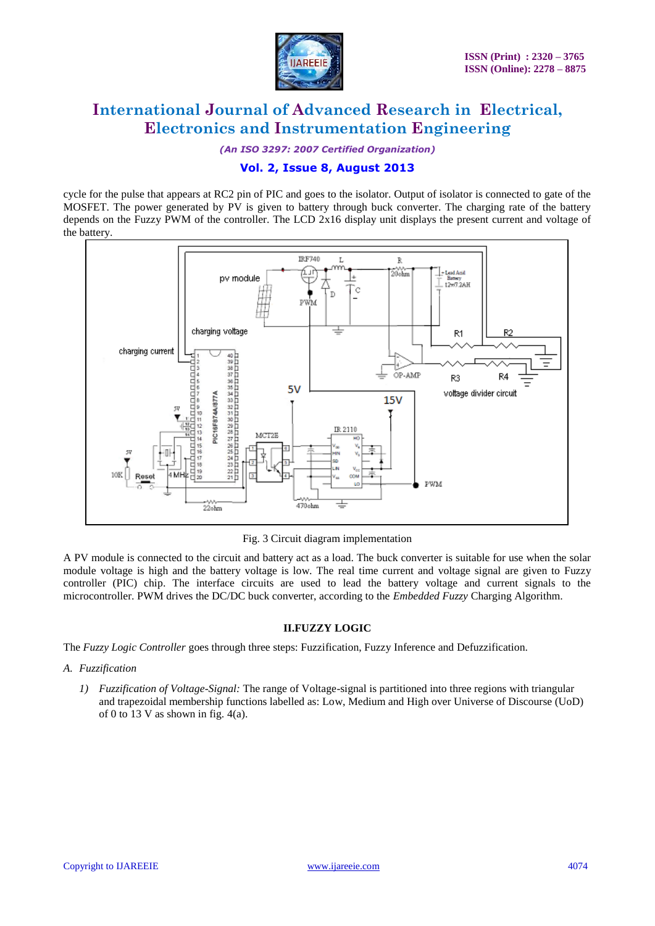

*(An ISO 3297: 2007 Certified Organization)*

### **Vol. 2, Issue 8, August 2013**

cycle for the pulse that appears at RC2 pin of PIC and goes to the isolator. Output of isolator is connected to gate of the MOSFET. The power generated by PV is given to battery through buck converter. The charging rate of the battery depends on the Fuzzy PWM of the controller. The LCD 2x16 display unit displays the present current and voltage of the battery.



Fig. 3 Circuit diagram implementation

A PV module is connected to the circuit and battery act as a load. The buck converter is suitable for use when the solar module voltage is high and the battery voltage is low. The real time current and voltage signal are given to Fuzzy controller (PIC) chip. The interface circuits are used to lead the battery voltage and current signals to the microcontroller. PWM drives the DC/DC buck converter, according to the *Embedded Fuzzy* Charging Algorithm.

#### **II.FUZZY LOGIC**

The *Fuzzy Logic Controller* goes through three steps: Fuzzification, Fuzzy Inference and Defuzzification.

- *A. Fuzzification*
	- *1) Fuzzification of Voltage-Signal:* The range of Voltage-signal is partitioned into three regions with triangular and trapezoidal membership functions labelled as: Low, Medium and High over Universe of Discourse (UoD) of 0 to 13 V as shown in fig.  $4(a)$ .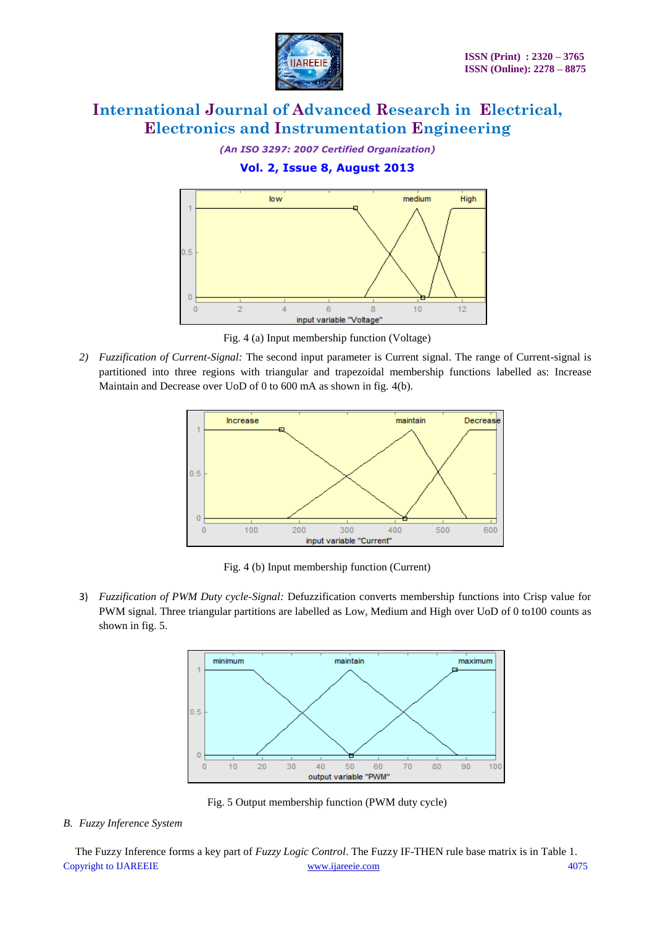

*(An ISO 3297: 2007 Certified Organization)*

### **Vol. 2, Issue 8, August 2013**



Fig. 4 (a) Input membership function (Voltage)

*2) Fuzzification of Current-Signal:* The second input parameter is Current signal. The range of Current-signal is partitioned into three regions with triangular and trapezoidal membership functions labelled as: Increase Maintain and Decrease over UoD of 0 to 600 mA as shown in fig. 4(b).



Fig. 4 (b) Input membership function (Current)

3) *Fuzzification of PWM Duty cycle-Signal:* Defuzzification converts membership functions into Crisp value for PWM signal. Three triangular partitions are labelled as Low, Medium and High over UoD of 0 to100 counts as shown in fig. 5.



Fig. 5 Output membership function (PWM duty cycle)

### *B. Fuzzy Inference System*

Copyright to IJAREEIE [www.ijareeie.com](http://www.ijareeie.com/) 4075 The Fuzzy Inference forms a key part of *Fuzzy Logic Control*. The Fuzzy IF-THEN rule base matrix is in Table 1.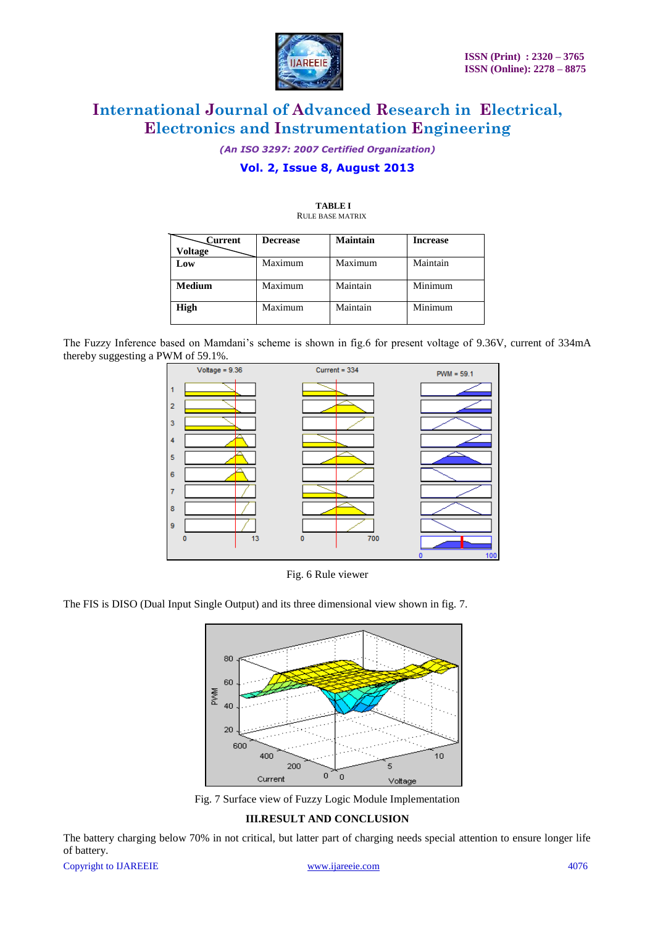

*(An ISO 3297: 2007 Certified Organization)*

### **Vol. 2, Issue 8, August 2013**

| Current        | <b>Decrease</b> | Maintain | <b>Increase</b> |
|----------------|-----------------|----------|-----------------|
| <b>Voltage</b> |                 |          |                 |
| Low            | Maximum         | Maximum  | Maintain        |
|                |                 |          |                 |
| <b>Medium</b>  | Maximum         | Maintain | Minimum         |
|                |                 |          |                 |
| <b>High</b>    | Maximum         | Maintain | Minimum         |
|                |                 |          |                 |

#### **TABLE I** RULE BASE MATRIX

The Fuzzy Inference based on Mamdani's scheme is shown in fig.6 for present voltage of 9.36V, current of 334mA thereby suggesting a PWM of 59.1%.



Fig. 6 Rule viewer

The FIS is DISO (Dual Input Single Output) and its three dimensional view shown in fig. 7.



Fig. 7 Surface view of Fuzzy Logic Module Implementation

#### **III.RESULT AND CONCLUSION**

The battery charging below 70% in not critical, but latter part of charging needs special attention to ensure longer life of battery.

Copyright to IJAREEIE [www.ijareeie.com](http://www.ijareeie.com/) 4076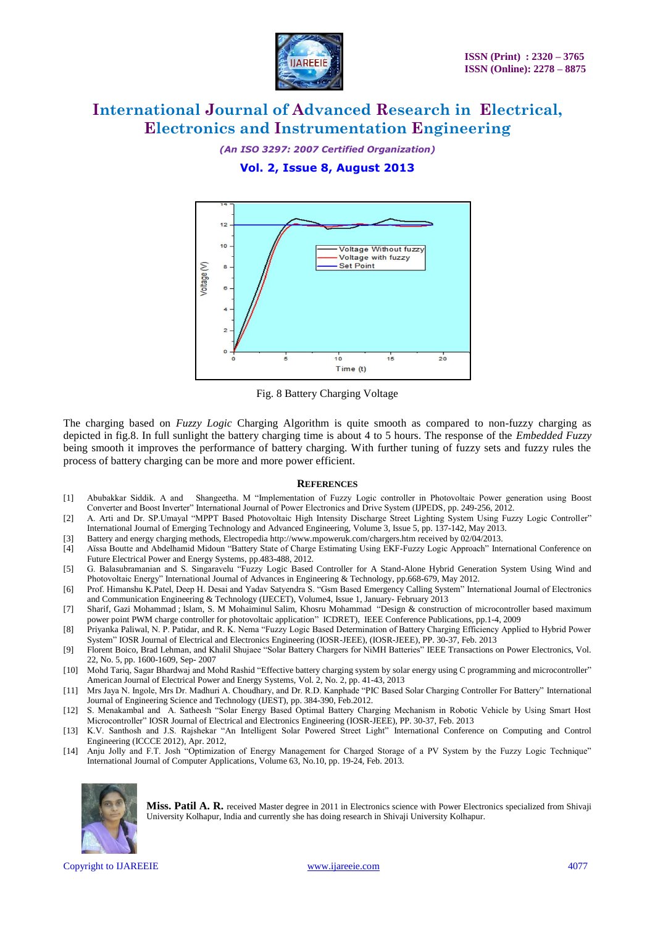

*(An ISO 3297: 2007 Certified Organization)*

#### **Vol. 2, Issue 8, August 2013**



Fig. 8 Battery Charging Voltage

The charging based on *Fuzzy Logic* Charging Algorithm is quite smooth as compared to non-fuzzy charging as depicted in fig.8. In full sunlight the battery charging time is about 4 to 5 hours. The response of the *Embedded Fuzzy* being smooth it improves the performance of battery charging. With further tuning of fuzzy sets and fuzzy rules the process of battery charging can be more and more power efficient.

#### **REFERENCES**

- [1] Abubakkar Siddik. A and Shangeetha. M "Implementation of Fuzzy Logic controller in Photovoltaic Power generation using Boost Converter and Boost Inverter" International Journal of Power Electronics and Drive System (IJPEDS, pp. 249-256, 2012.
- [2] A. Arti and Dr. SP.Umayal "MPPT Based Photovoltaic High Intensity Discharge Street Lighting System Using Fuzzy Logic Controller" International Journal of Emerging Technology and Advanced Engineering, Volume 3, Issue 5, pp. 137-142, May 2013.
- [3] Battery and energy charging methods, Electropedi[a http://www.mpoweruk.com/chargers.htm](http://www.mpoweruk.com/chargers.htm) received by 02/04/2013.
- [4] Aïssa Boutte and Abdelhamid Midoun "Battery State of Charge Estimating Using EKF-Fuzzy Logic Approach" International Conference on Future Electrical Power and Energy Systems, pp.483-488, 2012.
- [5] G. Balasubramanian and S. Singaravelu "Fuzzy Logic Based Controller for A Stand-Alone Hybrid Generation System Using Wind and Photovoltaic Energy" International Journal of Advances in Engineering & Technology, pp.668-679, May 2012.
- [6] Prof. Himanshu K.Patel, Deep H. Desai and Yadav Satyendra S. "Gsm Based Emergency Calling System" International Journal of Electronics and Communication Engineering & Technology (IJECET), Volume4, Issue 1, January- February 2013
- [7] [Sharif, Gazi Mohammad](http://ieeexplore.ieee.org/search/searchresult.jsp?searchWithin=p_Authors:.QT.Sharif,%20Gazi%20Mohammad.QT.&searchWithin=p_Author_Ids:38471526800&newsearch=true) ; [Islam, S. M Mohaiminul](http://ieeexplore.ieee.org/search/searchresult.jsp?searchWithin=p_Authors:.QT.Islam,%20S.%20M%20Mohaiminul.QT.&searchWithin=p_Author_Ids:38184220400&newsearch=true) [Salim, Khosru Mohammad](http://ieeexplore.ieee.org/search/searchresult.jsp?searchWithin=p_Authors:.QT.Salim,%20Khosru%20Mohammad.QT.&searchWithin=p_Author_Ids:38186732600&newsearch=true) ["Design & construction of microcontroller based maximum](http://ieeexplore.ieee.org/xpl/articleDetails.jsp?tp=&arnumber=5454228&contentType=Conference+Publications&searchWithin%3Dp_Authors%3A.QT.Sharif%2C+Gazi+Mohammad.QT.%26searchWithin%3Dp_Author_Ids%3A38471526800%26searchField%3DSearch_All)  [power point PWM charge controller for photovoltaic application"](http://ieeexplore.ieee.org/xpl/articleDetails.jsp?tp=&arnumber=5454228&contentType=Conference+Publications&searchWithin%3Dp_Authors%3A.QT.Sharif%2C+Gazi+Mohammad.QT.%26searchWithin%3Dp_Author_Ids%3A38471526800%26searchField%3DSearch_All) [ICDRET\),](http://ieeexplore.ieee.org/xpl/mostRecentIssue.jsp?punumber=5446613) IEEE Conference Publications, pp.1-4, 2009
- [8] Priyanka Paliwal, N. P. Patidar, and R. K. Nema "Fuzzy Logic Based Determination of Battery Charging Efficiency Applied to Hybrid Power System" IOSR Journal of Electrical and Electronics Engineering (IOSR-JEEE), (IOSR-JEEE), PP. 30-37, Feb. 2013
- [9] Florent Boico, Brad Lehman, and Khalil Shujaee "Solar Battery Chargers for NiMH Batteries" IEEE Transactions on Power Electronics, Vol. 22, No. 5, pp. 1600-1609, Sep- 2007
- [10] Mohd Tariq, Sagar Bhardwaj and Mohd Rashid "Effective battery charging system by solar energy using C programming and microcontroller" American Journal of Electrical Power and Energy Systems, Vol. 2, No. 2, pp. 41-43, 2013
- [11] Mrs Jaya N. Ingole, Mrs Dr. Madhuri A. Choudhary, and Dr. R.D. Kanphade "PIC Based Solar Charging Controller For Battery" International Journal of Engineering Science and Technology (IJEST), pp. 384-390, Feb.2012.
- [12] S. Menakambal and A. Satheesh "Solar Energy Based Optimal Battery Charging Mechanism in Robotic Vehicle by Using Smart Host Microcontroller" IOSR Journal of Electrical and Electronics Engineering (IOSR-JEEE), PP. 30-37, Feb. 2013
- [13] K.V. Santhosh and J.S. Rajshekar "An Intelligent Solar Powered Street Light" International Conference on Computing and Control Engineering (ICCCE 2012), Apr. 2012,
- [14] Anju Jolly and F.T. Josh "Optimization of Energy Management for Charged Storage of a PV System by the Fuzzy Logic Technique" International Journal of Computer Applications, Volume 63, No.10, pp. 19-24, Feb. 2013.



**Miss. Patil A. R.** received Master degree in 2011 in Electronics science with Power Electronics specialized from Shivaji University Kolhapur, India and currently she has doing research in Shivaji University Kolhapur.

Copyright to IJAREEIE [www.ijareeie.com](http://www.ijareeie.com/) 4077